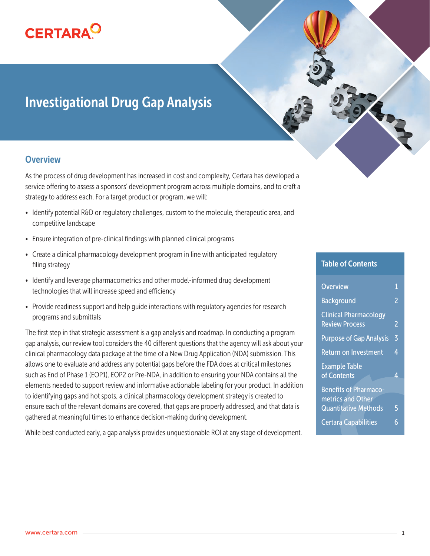

# Investigational Drug Gap Analysis

#### **Overview**

As the process of drug development has increased in cost and complexity, Certara has developed a service offering to assess a sponsors' development program across multiple domains, and to craft a strategy to address each. For a target product or program, we will:

- Identify potential R&D or regulatory challenges, custom to the molecule, therapeutic area, and competitive landscape
- Ensure integration of pre-clinical findings with planned clinical programs
- Create a clinical pharmacology development program in line with anticipated regulatory filing strategy
- Identify and leverage pharmacometrics and other model-informed drug development technologies that will increase speed and efficiency
- Provide readiness support and help quide interactions with regulatory agencies for research programs and submittals

The first step in that strategic assessment is a gap analysis and roadmap. In conducting a program gap analysis, our review tool considers the 40 different questions that the agency will ask about your clinical pharmacology data package at the time of a New Drug Application (NDA) submission. This allows one to evaluate and address any potential gaps before the FDA does at critical milestones such as End of Phase 1 (EOP1), EOP2 or Pre-NDA, in addition to ensuring your NDA contains all the elements needed to support review and informative actionable labeling for your product. In addition to identifying gaps and hot spots, a clinical pharmacology development strategy is created to ensure each of the relevant domains are covered, that gaps are properly addressed, and that data is gathered at meaningful times to enhance decision-making during development.

While best conducted early, a gap analysis provides unquestionable ROI at any stage of development.

#### Table of Contents

ERS

| <b>Overview</b>                                       | 1              |
|-------------------------------------------------------|----------------|
| <b>Background</b>                                     | $\overline{2}$ |
| <b>Clinical Pharmacology</b><br><b>Review Process</b> | $\overline{2}$ |
| <b>Purpose of Gap Analysis</b>                        | $\overline{5}$ |
| <b>Return on Investment</b>                           | 4              |
| <b>Example Table</b><br>of Contents                   | 4              |
| <b>Benefits of Pharmaco-</b>                          |                |
| metrics and Other                                     |                |
| <b>Quantitative Methods</b>                           | 5              |
| Certara Capabilities                                  | 6              |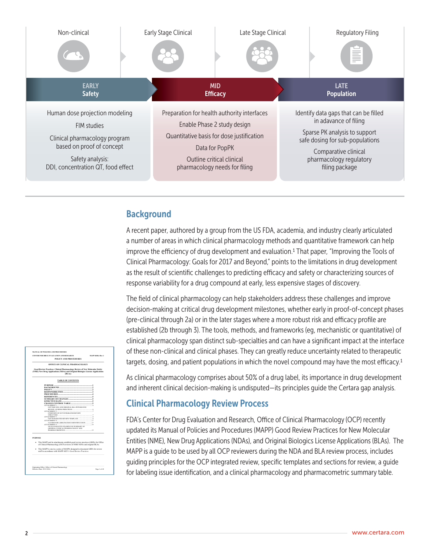

#### **Background**

A recent paper, authored by a group from the US FDA, academia, and industry clearly articulated a number of areas in which clinical pharmacology methods and quantitative framework can help improve the efficiency of drug development and evaluation.1 That paper, "Improving the Tools of Clinical Pharmacology: Goals for 2017 and Beyond," points to the limitations in drug development as the result of scientific challenges to predicting efficacy and safety or characterizing sources of response variability for a drug compound at early, less expensive stages of discovery.

The field of clinical pharmacology can help stakeholders address these challenges and improve decision-making at critical drug development milestones, whether early in proof-of-concept phases (pre-clinical through 2a) or in the later stages where a more robust risk and efficacy profile are established (2b through 3). The tools, methods, and frameworks (eg, mechanistic or quantitative) of clinical pharmacology span distinct sub-specialties and can have a significant impact at the interface of these non-clinical and clinical phases. They can greatly reduce uncertainty related to therapeutic targets, dosing, and patient populations in which the novel compound may have the most efficacy.1

|                | MANUAL OF POLICIES AND PROCEDURES                                                 |                          |
|----------------|-----------------------------------------------------------------------------------|--------------------------|
|                | CENTER FOR DRUG EVALUATION AND RESEARCH                                           | <b>MAPP 4000 4 Rev 1</b> |
|                | POLICY AND PROCEDURES                                                             |                          |
|                | OFFICE OF CLINICAL PHARMACOLOGY                                                   |                          |
|                | Good Review Practices: Clinical Pharmacology Review of New Molecular Entity       |                          |
|                | (NME) New Drug Applications (NDAs) and Original Biologics License Applications    |                          |
|                | (BLAs)                                                                            |                          |
|                | <b>TABLE OF CONTENTS</b>                                                          |                          |
|                |                                                                                   |                          |
|                |                                                                                   |                          |
|                |                                                                                   |                          |
|                |                                                                                   |                          |
|                | PROCEDURES 4                                                                      |                          |
|                |                                                                                   |                          |
|                |                                                                                   |                          |
|                | EFFECTIVE DATE<br>CHANGE CONTROL TABLE                                            |                          |
|                | ATTACHMENT 1.                                                                     | $\sim$                   |
|                | OCPAINE NDA AND ORIGINAL BLA INTEGRATED.                                          |                          |
|                |                                                                                   | ń,                       |
|                | ATTACHMENT?<br>OVERVIEW OF OCP INTEGRATED REVIEW                                  |                          |
|                |                                                                                   |                          |
|                | ATTACHMENT 3 8                                                                    |                          |
|                |                                                                                   | 17                       |
|                | ATTACHMENT 4<br>A GUIDE FOR LABELING ISSUE IDENTIFICATION  17                     |                          |
|                | ATTACHMENT 5                                                                      | 19                       |
|                | AN ILLUSTRATIVE EXAMPLE OF SUMMARY OF<br>GENERAL CUNICAL PHARMACOLOGY AND         |                          |
|                |                                                                                   | 10                       |
|                |                                                                                   |                          |
| <b>PURPOSE</b> |                                                                                   |                          |
|                |                                                                                   |                          |
|                | · This MAPP and its attachments establish good review practices (GRPs) for Office |                          |
|                | of Clinical Pharmacology (OCP) reviews of NME NDAs and original BLAs.             |                          |
|                | • This MAPP is one in a series of MAPPs designed to document GRPs for review      |                          |
|                | staff in accordance with MAPP 6025.1 Good Review Proctices                        |                          |
|                |                                                                                   |                          |
|                |                                                                                   |                          |
|                |                                                                                   |                          |
|                |                                                                                   |                          |
|                |                                                                                   |                          |
|                |                                                                                   |                          |
|                |                                                                                   |                          |
|                | Originating Office: Office of Clinical Pharmacology<br>Effective Date: 09/23/2016 | Page 1 of 20             |

As clinical pharmacology comprises about 50% of a drug label, its importance in drug development and inherent clinical decision-making is undisputed—its principles guide the Certara gap analysis.

#### Clinical Pharmacology Review Process

FDA's Center for Drug Evaluation and Research, Office of Clinical Pharmacology (OCP) recently updated its Manual of Policies and Procedures (MAPP) Good Review Practices for New Molecular Entities (NME), New Drug Applications (NDAs), and Original Biologics License Applications (BLAs). The MAPP is a guide to be used by all OCP reviewers during the NDA and BLA review process, includes guiding principles for the OCP integrated review, specific templates and sections for review, a guide for labeling issue identification, and a clinical pharmacology and pharmacometric summary table.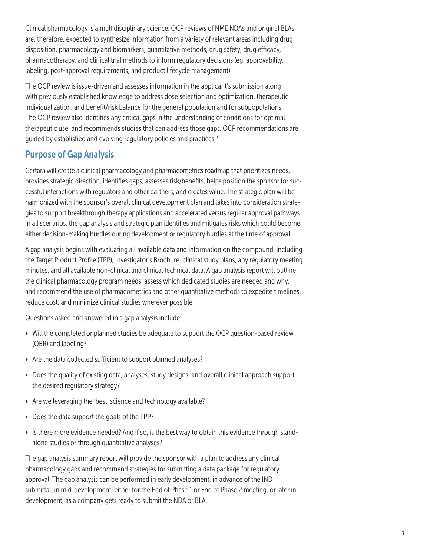Clinical pharmacology is a multidisciplinary science. OCP reviews of NME NDAs and original BLAs are, therefore, expected to synthesize information from a variety of relevant areas including drug disposition, pharmacology and biomarkers, quantitative methods, drug safety, drug efficacy, pharmacotherapy, and clinical trial methods to inform regulatory decisions (eg, approvability, labeling, post-approval requirements, and product lifecycle management).

The OCP review is issue-driven and assesses information in the applicant's submission along with previously established knowledge to address dose selection and optimization, therapeutic individualization, and benefit/risk balance for the general population and for subpopulations. The OCP review also identifies any critical gaps in the understanding of conditions for optimal therapeutic use, and recommends studies that can address those gaps. OCP recommendations are guided by established and evolving regulatory policies and practices.2

#### Purpose of Gap Analysis

Certara will create a clinical pharmacology and pharmacometrics roadmap that prioritizes needs, provides strategic direction, identifies gaps, assesses risk/benefits, helps position the sponsor for successful interactions with regulators and other partners, and creates value. The strategic plan will be harmonized with the sponsor's overall clinical development plan and takes into consideration strategies to support breakthrough therapy applications and accelerated versus regular approval pathways. In all scenarios, the gap analysis and strategic plan identifies and mitigates risks which could become either decision-making hurdles during development or regulatory hurdles at the time of approval.

A gap analysis begins with evaluating all available data and information on the compound, including the Target Product Profile (TPP), Investigator's Brochure, clinical study plans, any regulatory meeting minutes, and all available non-clinical and clinical technical data. A gap analysis report will outline the clinical pharmacology program needs, assess which dedicated studies are needed and why, and recommend the use of pharmacometrics and other quantitative methods to expedite timelines, reduce cost, and minimize clinical studies wherever possible.

Questions asked and answered in a gap analysis include:

- Will the completed or planned studies be adequate to support the OCP question-based review (QBR) and labeling?
- Are the data collected sufficient to support planned analyses?
- Does the quality of existing data, analyses, study designs, and overall clinical approach support the desired regulatory strategy?
- Are we leveraging the 'best' science and technology available?
- Does the data support the goals of the TPP?
- Is there more evidence needed? And if so, is the best way to obtain this evidence through standalone studies or through quantitative analyses?

The gap analysis summary report will provide the sponsor with a plan to address any clinical pharmacology gaps and recommend strategies for submitting a data package for regulatory approval. The gap analysis can be performed in early development, in advance of the IND submittal, in mid-development, either for the End of Phase 1 or End of Phase 2 meeting, or later in development, as a company gets ready to submit the NDA or BLA.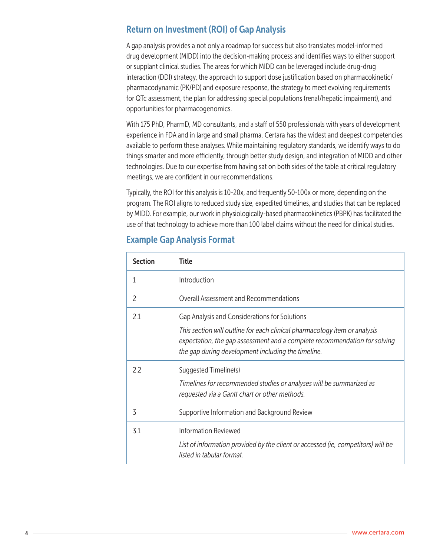#### Return on Investment (ROI) of Gap Analysis

A gap analysis provides a not only a roadmap for success but also translates model-informed drug development (MIDD) into the decision-making process and identifies ways to either support or supplant clinical studies. The areas for which MIDD can be leveraged include drug-drug interaction (DDI) strategy, the approach to support dose justification based on pharmacokinetic/ pharmacodynamic (PK/PD) and exposure response, the strategy to meet evolving requirements for QTc assessment, the plan for addressing special populations (renal/hepatic impairment), and opportunities for pharmacogenomics.

With 175 PhD, PharmD, MD consultants, and a staff of 550 professionals with years of development experience in FDA and in large and small pharma, Certara has the widest and deepest competencies available to perform these analyses. While maintaining regulatory standards, we identify ways to do things smarter and more efficiently, through better study design, and integration of MIDD and other technologies. Due to our expertise from having sat on both sides of the table at critical regulatory meetings, we are confident in our recommendations.

Typically, the ROI for this analysis is 10-20x, and frequently 50-100x or more, depending on the program. The ROI aligns to reduced study size, expedited timelines, and studies that can be replaced by MIDD. For example, our work in physiologically-based pharmacokinetics (PBPK) has facilitated the use of that technology to achieve more than 100 label claims without the need for clinical studies.

| <b>Section</b> | Title                                                                                                                                                                                                                                                         |
|----------------|---------------------------------------------------------------------------------------------------------------------------------------------------------------------------------------------------------------------------------------------------------------|
|                | Introduction                                                                                                                                                                                                                                                  |
| $\mathcal{P}$  | Overall Assessment and Recommendations                                                                                                                                                                                                                        |
| 2.1            | Gap Analysis and Considerations for Solutions<br>This section will outline for each clinical pharmacology item or analysis<br>expectation, the gap assessment and a complete recommendation for solving<br>the gap during development including the timeline. |
| 2.2            | Suggested Timeline(s)<br>Timelines for recommended studies or analyses will be summarized as<br>requested via a Gantt chart or other methods.                                                                                                                 |
| 3              | Supportive Information and Background Review                                                                                                                                                                                                                  |
| 3.1            | <b>Information Reviewed</b><br>List of information provided by the client or accessed (ie, competitors) will be<br>listed in tabular format.                                                                                                                  |

#### Example Gap Analysis Format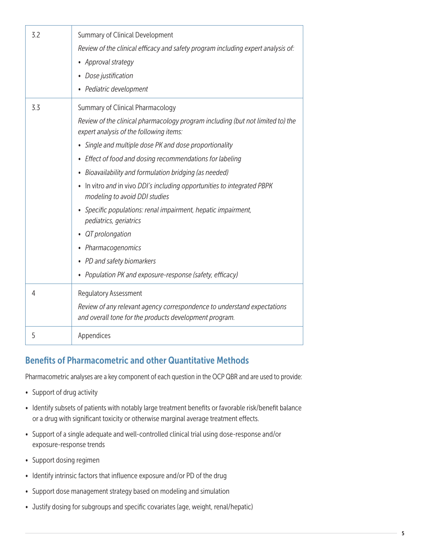| 3.2 | Summary of Clinical Development<br>Review of the clinical efficacy and safety program including expert analysis of:<br>• Approval strategy<br>• Dose justification<br>• Pediatric development                                                                                                                                                                                                                                                                                                                                                                                                                                                                                                                    |
|-----|------------------------------------------------------------------------------------------------------------------------------------------------------------------------------------------------------------------------------------------------------------------------------------------------------------------------------------------------------------------------------------------------------------------------------------------------------------------------------------------------------------------------------------------------------------------------------------------------------------------------------------------------------------------------------------------------------------------|
| 3.3 | Summary of Clinical Pharmacology<br>Review of the clinical pharmacology program including (but not limited to) the<br>expert analysis of the following items:<br>• Single and multiple dose PK and dose proportionality<br>Effect of food and dosing recommendations for labeling<br>٠<br>• Bioavailability and formulation bridging (as needed)<br>In vitro and in vivo DDI's including opportunities to integrated PBPK<br>$\bullet$<br>modeling to avoid DDI studies<br>Specific populations: renal impairment, hepatic impairment,<br>$\bullet$<br>pediatrics, geriatrics<br>QT prolongation<br>• Pharmacogenomics<br>• PD and safety biomarkers<br>• Population PK and exposure-response (safety, efficacy) |
| 4   | <b>Regulatory Assessment</b><br>Review of any relevant agency correspondence to understand expectations<br>and overall tone for the products development program.                                                                                                                                                                                                                                                                                                                                                                                                                                                                                                                                                |
| 5   | Appendices                                                                                                                                                                                                                                                                                                                                                                                                                                                                                                                                                                                                                                                                                                       |

## Benefits of Pharmacometric and other Quantitative Methods

Pharmacometric analyses are a key component of each question in the OCP QBR and are used to provide:

- Support of drug activity
- Identify subsets of patients with notably large treatment benefits or favorable risk/benefit balance or a drug with significant toxicity or otherwise marginal average treatment effects.
- Support of a single adequate and well-controlled clinical trial using dose-response and/or exposure-response trends
- Support dosing regimen
- Identify intrinsic factors that influence exposure and/or PD of the drug
- Support dose management strategy based on modeling and simulation
- Justify dosing for subgroups and specific covariates (age, weight, renal/hepatic)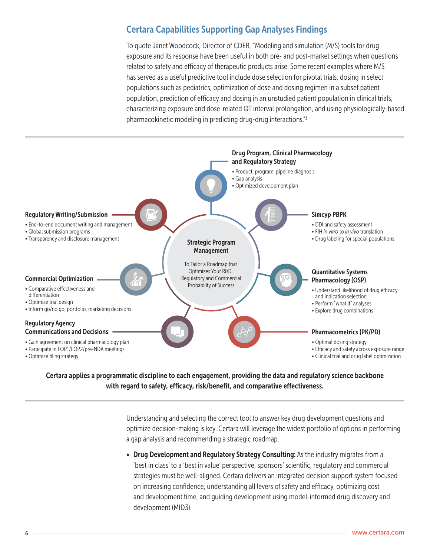### Certara Capabilities Supporting Gap Analyses Findings

To quote Janet Woodcock, Director of CDER, "Modeling and simulation (M/S) tools for drug exposure and its response have been useful in both pre- and post-market settings when questions related to safety and efficacy of therapeutic products arise. Some recent examples where M/S has served as a useful predictive tool include dose selection for pivotal trials, dosing in select populations such as pediatrics, optimization of dose and dosing regimen in a subset patient population, prediction of efficacy and dosing in an unstudied patient population in clinical trials, characterizing exposure and dose-related QT interval prolongation, and using physiologically-based pharmacokinetic modeling in predicting drug-drug interactions."3



Certara applies a programmatic discipline to each engagement, providing the data and regulatory science backbone with regard to safety, efficacy, risk/benefit, and comparative effectiveness.

> Understanding and selecting the correct tool to answer key drug development questions and optimize decision-making is key. Certara will leverage the widest portfolio of options in performing a gap analysis and recommending a strategic roadmap.

• Drug Development and Regulatory Strategy Consulting: As the industry migrates from a 'best in class' to a 'best in value' perspective, sponsors' scientific, regulatory and commercial strategies must be well-aligned. Certara delivers an integrated decision support system focused on increasing confidence, understanding all levers of safety and efficacy, optimizing cost and development time, and guiding development using model-informed drug discovery and development (MID3).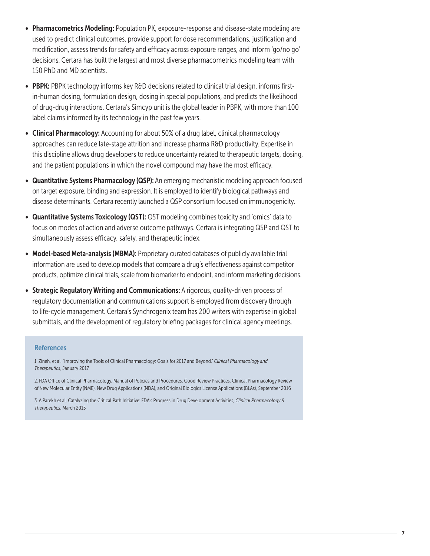- Pharmacometrics Modeling: Population PK, exposure-response and disease-state modeling are used to predict clinical outcomes, provide support for dose recommendations, justification and modification, assess trends for safety and efficacy across exposure ranges, and inform 'go/no go' decisions. Certara has built the largest and most diverse pharmacometrics modeling team with 150 PhD and MD scientists.
- PBPK: PBPK technology informs key R&D decisions related to clinical trial design, informs firstin-human dosing, formulation design, dosing in special populations, and predicts the likelihood of drug-drug interactions. Certara's Simcyp unit is the global leader in PBPK, with more than 100 label claims informed by its technology in the past few years.
- Clinical Pharmacology: Accounting for about 50% of a drug label, clinical pharmacology approaches can reduce late-stage attrition and increase pharma R&D productivity. Expertise in this discipline allows drug developers to reduce uncertainty related to therapeutic targets, dosing, and the patient populations in which the novel compound may have the most efficacy.
- Quantitative Systems Pharmacology (QSP): An emerging mechanistic modeling approach focused on target exposure, binding and expression. It is employed to identify biological pathways and disease determinants. Certara recently launched a QSP consortium focused on immunogenicity.
- Quantitative Systems Toxicology (QST): QST modeling combines toxicity and 'omics' data to focus on modes of action and adverse outcome pathways. Certara is integrating QSP and QST to simultaneously assess efficacy, safety, and therapeutic index.
- Model-based Meta-analysis (MBMA): Proprietary curated databases of publicly available trial information are used to develop models that compare a drug's effectiveness against competitor products, optimize clinical trials, scale from biomarker to endpoint, and inform marketing decisions.
- Strategic Regulatory Writing and Communications: A rigorous, quality-driven process of regulatory documentation and communications support is employed from discovery through to life-cycle management. Certara's Synchrogenix team has 200 writers with expertise in global submittals, and the development of regulatory briefing packages for clinical agency meetings.

#### **References**

1. Zineh, et al. "Improving the Tools of Clinical Pharmacology: Goals for 2017 and Beyond," *Clinical Pharmacology and Therapeutics*, January 2017

2. FDA Office of Clinical Pharmacology, Manual of Policies and Procedures, Good Review Practices: Clinical Pharmacology Review of New Molecular Entity (NME), New Drug Applications (NDA), and Original Biologics License Applications (BLAs), September 2016

3. A Parekh et al, Catalyzing the Critical Path Initiative: FDA's Progress in Drug Development Activities, *Clinical Pharmacology & Therapeutics*, March 2015